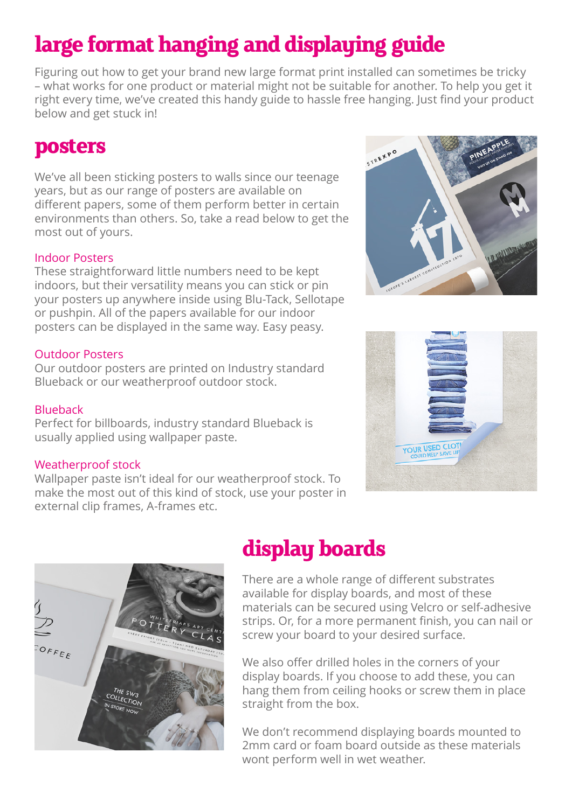# **large format hanging and displaying guide**

Figuring out how to get your brand new large format print installed can sometimes be tricky – what works for one product or material might not be suitable for another. To help you get it right every time, we've created this handy guide to hassle free hanging. Just find your product below and get stuck in!

### **posters**

We've all been sticking posters to walls since our teenage years, but as our range of posters are available on different papers, some of them perform better in certain environments than others. So, take a read below to get the most out of yours.

#### Indoor Posters

These straightforward little numbers need to be kept indoors, but their versatility means you can stick or pin your posters up anywhere inside using Blu-Tack, Sellotape or pushpin. All of the papers available for our indoor posters can be displayed in the same way. Easy peasy.

#### Outdoor Posters

Our outdoor posters are printed on Industry standard Blueback or our weatherproof outdoor stock.

#### Blueback

Perfect for billboards, industry standard Blueback is usually applied using wallpaper paste.

#### Weatherproof stock

Wallpaper paste isn't ideal for our weatherproof stock. To make the most out of this kind of stock, use your poster in external clip frames, A-frames etc.







### **display boards**

There are a whole range of different substrates available for display boards, and most of these materials can be secured using Velcro or self-adhesive strips. Or, for a more permanent finish, you can nail or screw your board to your desired surface.

We also offer drilled holes in the corners of your display boards. If you choose to add these, you can hang them from ceiling hooks or screw them in place straight from the box.

We don't recommend displaying boards mounted to 2mm card or foam board outside as these materials wont perform well in wet weather.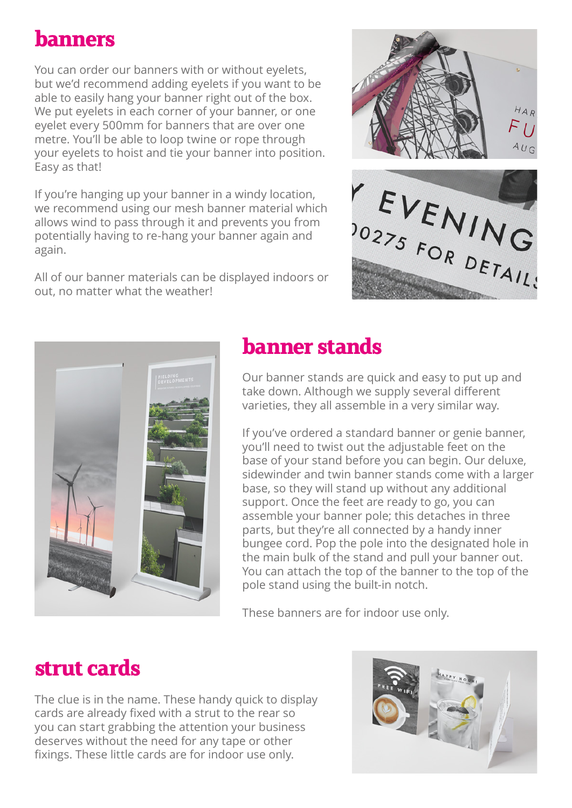### **banners**

You can order our banners with or without eyelets, but we'd recommend adding eyelets if you want to be able to easily hang your banner right out of the box. We put eyelets in each corner of your banner, or one eyelet every 500mm for banners that are over one metre. You'll be able to loop twine or rope through your eyelets to hoist and tie your banner into position. Easy as that!

If you're hanging up your banner in a windy location, we recommend using our mesh banner material which allows wind to pass through it and prevents you from potentially having to re-hang your banner again and again.

All of our banner materials can be displayed indoors or out, no matter what the weather!





## **banner stands**

Our banner stands are quick and easy to put up and take down. Although we supply several different varieties, they all assemble in a very similar way.

If you've ordered a standard banner or genie banner, you'll need to twist out the adjustable feet on the base of your stand before you can begin. Our deluxe, sidewinder and twin banner stands come with a larger base, so they will stand up without any additional support. Once the feet are ready to go, you can assemble your banner pole; this detaches in three parts, but they're all connected by a handy inner bungee cord. Pop the pole into the designated hole in the main bulk of the stand and pull your banner out. You can attach the top of the banner to the top of the pole stand using the built-in notch.

These banners are for indoor use only.

### **strut cards**

The clue is in the name. These handy quick to display cards are already fixed with a strut to the rear so you can start grabbing the attention your business deserves without the need for any tape or other fixings. These little cards are for indoor use only.

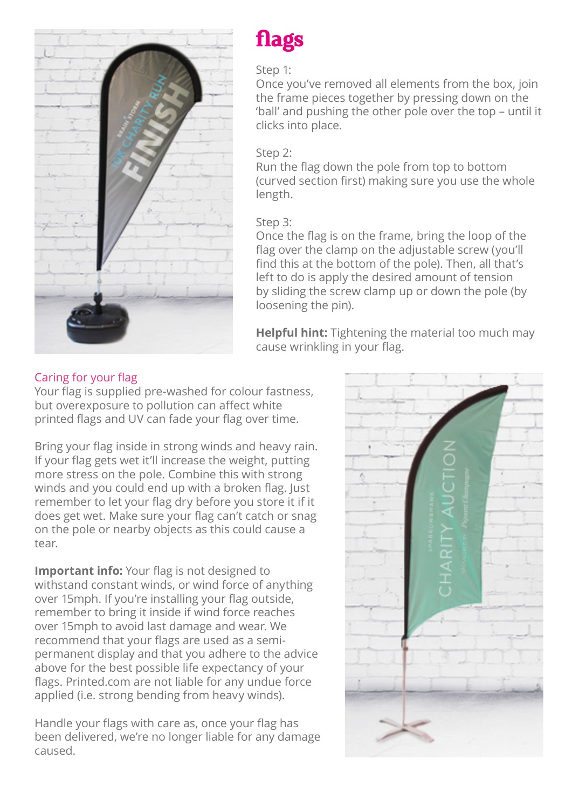



### Step 1:

Once you've removed all elements from the box, join the frame pieces together by pressing down on the 'ball' and pushing the other pole over the top – until it clicks into place.

### Step 2:

Run the flag down the pole from top to bottom (curved section first) making sure you use the whole length.

### Step 3:

Once the flag is on the frame, bring the loop of the flag over the clamp on the adjustable screw (you'll find this at the bottom of the pole). Then, all that's left to do is apply the desired amount of tension by sliding the screw clamp up or down the pole (by loosening the pin).

**Helpful hint:** Tightening the material too much may cause wrinkling in your flag.

### Caring for your flag

Your flag is supplied pre-washed for colour fastness, but overexposure to pollution can affect white printed flags and UV can fade your flag over time.

Bring your flag inside in strong winds and heavy rain. If your flag gets wet it'll increase the weight, putting more stress on the pole. Combine this with strong winds and you could end up with a broken flag. Just remember to let your flag dry before you store it if it does get wet. Make sure your flag can't catch or snag on the pole or nearby objects as this could cause a tear.

**Important info:** Your flag is not designed to withstand constant winds, or wind force of anything over 15mph. If you're installing your flag outside, remember to bring it inside if wind force reaches over 15mph to avoid last damage and wear. We recommend that your flags are used as a semipermanent display and that you adhere to the advice above for the best possible life expectancy of your flags. Printed.com are not liable for any undue force applied (i.e. strong bending from heavy winds).

Handle your flags with care as, once your flag has been delivered, we're no longer liable for any damage caused.